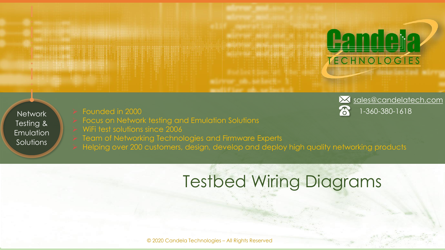**Network** Testing & Emulation Solutions

- Focus on Network testing and Emulation Solutions
- WiFi test solutions since 2006
- Team of Networking Technologies and Firmware Experts
- ➢ Helping over 200 customers, design, develop and deploy high quality networking products

# Testbed Wiring Diagrams



**Pandela** 

TECHNOLOGIES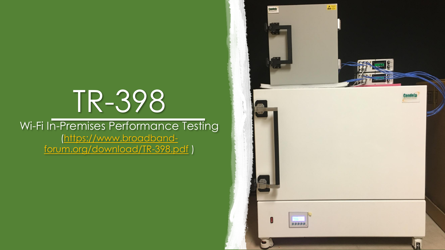# TR-398

#### Wi-Fi In-Premises Performance Testing (https://www.broadband[forum.org/download/TR-398.pdf](https://www.broadband-forum.org/download/TR-398.pdf) )

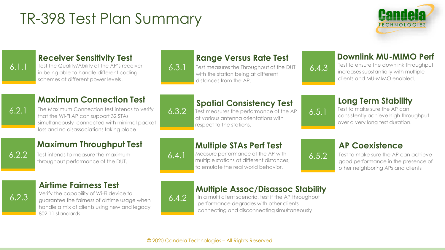## TR-398 Test Plan Summary



#### 6.1.1

#### **Receiver Sensitivity Test**

Test the Quality/Ability of the AP's receiver in being able to handle different coding schemes at different power levels .

#### **Range Versus Rate Test**

Test measures the Throughput of the DUT with the station being at different distances from the AP.

#### **Downlink MU-MIMO Perf**

Test to ensure the downlink throughput increases substantially with multiple clients and MU-MIMO enabled.

#### **Maximum Connection Test**

6.2.1

The Maximum Connection test intends to verify that the Wi-Fi AP can support 32 STAs simultaneously connected with minimal packet loss and no disassociations taking place

#### **Maximum Throughput Test**

6.2.2

Test intends to measure the maximum throughput performance of the DUT.

# 6.3.2

6.3.1

#### **Spatial Consistency Test**

Test measures the performance of the AP at various antenna orientations with respect to the stations.

# 6.5.1

6.5.2

6.4.3

#### **Long Term Stability**

Test to make sure the AP can consistently achieve high throughput over a very long test duration.

#### **Multiple STAs Perf Test**

Measure performance of the AP with multiple stations at different distances, to emulate the real world behavior.

#### **AP Coexistence**

Test to make sure the AP can achieve good performance in the presence of other neighboring APs and clients

#### **Airtime Fairness Test**

6.2.3

Verify the capability of Wi-Fi device to guarantee the fairness of airtime usage when handle a mix of clients using new and legacy 802.11 standards.



6.4.2

6.4.1

#### **Multiple Assoc/Disassoc Stability**

In a multi client scenario, test if the AP throughput performance degrades with other clients connecting and disconnecting simultaneously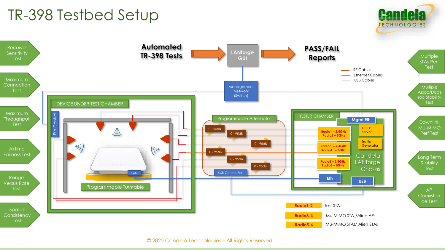## TR-398 Testbed Setup



**Candela** 

**TECHNOLOGIES**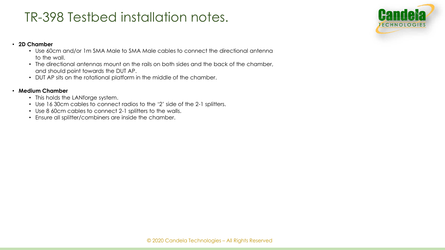### TR-398 Testbed installation notes.

#### • **2D Chamber**

- Use 60cm and/or 1m SMA Male to SMA Male cables to connect the directional antenna to the wall.
- The directional antennas mount on the rails on both sides and the back of the chamber, and should point towards the DUT AP.
- DUT AP sits on the rotational platform in the middle of the chamber.

#### • **Medium Chamber**

- This holds the LANforge system.
- Use 16 30cm cables to connect radios to the '2' side of the 2-1 splitters.
- Use 8 60cm cables to connect 2-1 splitters to the walls.
- Ensure all splitter/combiners are inside the chamber.

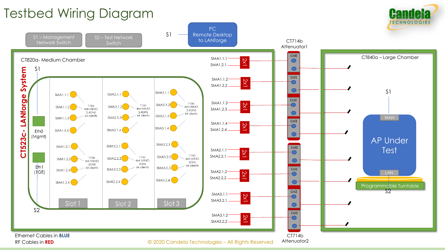### Testbed Wiring Diagram



© 2020 Candela Technologies – All Rights Reserved